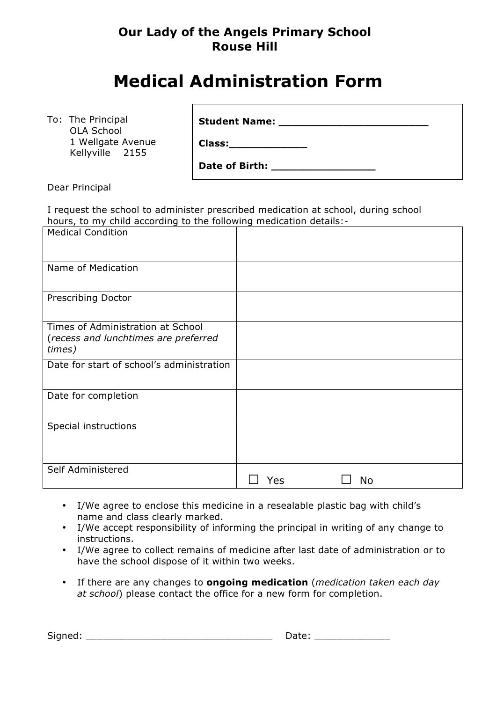## **Our Lady of the Angels Primary School Rouse Hill**

# **Medical Administration Form**

**Class:\_\_\_\_\_\_\_\_\_\_\_\_**

To: The Principal OLA School 1 Wellgate Avenue Kellyville 2155

**Student Name: \_\_\_\_\_\_\_\_\_\_\_\_\_\_\_\_\_\_\_\_\_\_\_**

Date of Birth:

Dear Principal

I request the school to administer prescribed medication at school, during school hours, to my child according to the following medication details:-

| <b>Medical Condition</b>                                                            |     |    |
|-------------------------------------------------------------------------------------|-----|----|
|                                                                                     |     |    |
| Name of Medication                                                                  |     |    |
|                                                                                     |     |    |
| Prescribing Doctor                                                                  |     |    |
| Times of Administration at School<br>(recess and lunchtimes are preferred<br>times) |     |    |
| Date for start of school's administration                                           |     |    |
| Date for completion                                                                 |     |    |
| Special instructions                                                                |     |    |
| Self Administered                                                                   | Yes | No |

- I/We agree to enclose this medicine in a resealable plastic bag with child's name and class clearly marked.
- I/We accept responsibility of informing the principal in writing of any change to instructions.
- I/We agree to collect remains of medicine after last date of administration or to have the school dispose of it within two weeks.
- If there are any changes to **ongoing medication** (*medication taken each day at school*) please contact the office for a new form for completion.

Signed: \_\_\_\_\_\_\_\_\_\_\_\_\_\_\_\_\_\_\_\_\_\_\_\_\_\_\_\_\_\_\_\_ Date: \_\_\_\_\_\_\_\_\_\_\_\_\_